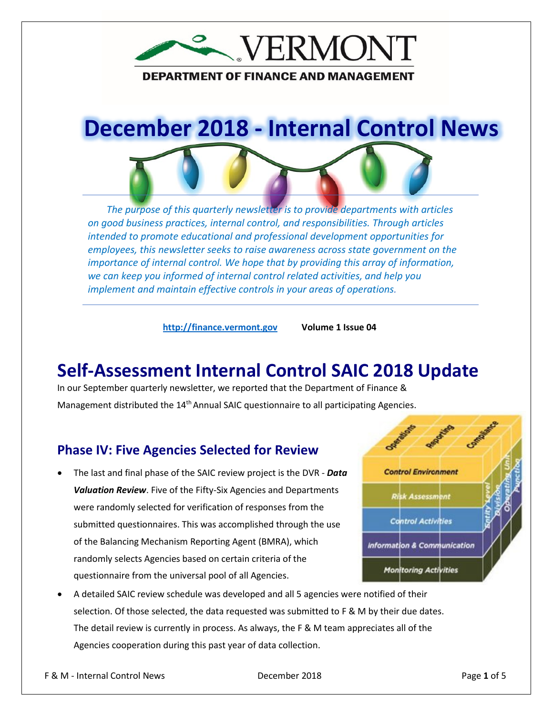

#### **DEPARTMENT OF FINANCE AND MANAGEMENT**

# **December 2018 - Internal Control News**

*The purpose of this quarterly newsletter is to provide departments with articles on good business practices, internal control, and responsibilities. Through articles intended to promote educational and professional development opportunities for employees, this newsletter seeks to raise awareness across state government on the importance of internal control. We hope that by providing this array of information, we can keep you informed of internal control related activities, and help you implement and maintain effective controls in your areas of operations.*

**[http://finance.vermont.gov](http://finance.vermont.gov/) Volume 1 Issue 04**

## **Self-Assessment Internal Control SAIC 2018 Update**

In our September quarterly newsletter, we reported that the Department of Finance & Management distributed the 14<sup>th</sup> Annual SAIC questionnaire to all participating Agencies.

#### **Phase IV: Five Agencies Selected for Review**

• The last and final phase of the SAIC review project is the DVR - *Data Valuation Review*. Five of the Fifty-Six Agencies and Departments were randomly selected for verification of responses from the submitted questionnaires. This was accomplished through the use of the Balancing Mechanism Reporting Agent (BMRA), which randomly selects Agencies based on certain criteria of the questionnaire from the universal pool of all Agencies.



• A detailed SAIC review schedule was developed and all 5 agencies were notified of their selection. Of those selected, the data requested was submitted to F & M by their due dates. The detail review is currently in process. As always, the F & M team appreciates all of the Agencies cooperation during this past year of data collection.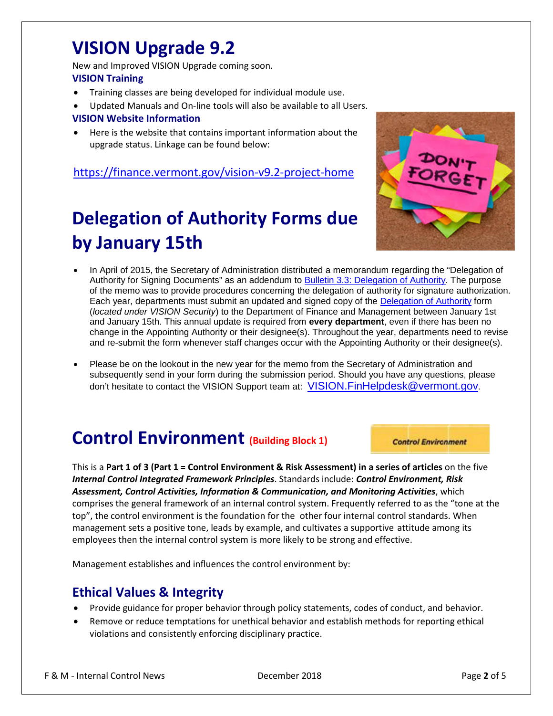## **VISION Upgrade 9.2**

New and Improved VISION Upgrade coming soon. **VISION Training** 

- Training classes are being developed for individual module use.
- Updated Manuals and On-line tools will also be available to all Users.

#### **VISION Website Information**

• Here is the website that contains important information about the upgrade status. Linkage can be found below:

#### <https://finance.vermont.gov/vision-v9.2-project-home>

# **Delegation of Authority Forms due by January 15th**



- In April of 2015, the Secretary of Administration distributed a memorandum regarding the "Delegation of Authority for Signing Documents" as an addendum to [Bulletin 3.3: Delegation of Authority.](https://aoa.vermont.gov/bulletins) The purpose of the memo was to provide procedures concerning the delegation of authority for signature authorization. Each year, departments must submit an updated and signed copy of the Delegation [of Authority](https://finance.vermont.gov/forms/vision) form (*located under VISION Security*) to the Department of Finance and Management between January 1st and January 15th. This annual update is required from **every department**, even if there has been no change in the Appointing Authority or their designee(s). Throughout the year, departments need to revise and re-submit the form whenever staff changes occur with the Appointing Authority or their designee(s).
- Please be on the lookout in the new year for the memo from the Secretary of Administration and subsequently send in your form during the submission period. Should you have any questions, please don't hesitate to contact the VISION Support team at: [VISION.FinHelpdesk@vermont.gov.](mailto:VISION.FinHelpdesk@vermont.gov)

# **Control Environment (Building Block 1)**

This is a **Part 1 of 3 (Part 1 = Control Environment & Risk Assessment) in a series of articles** on the five *Internal Control Integrated Framework Principles*. Standards include: *Control Environment, Risk Assessment, Control Activities, Information & Communication, and Monitoring Activities*, which comprises the general framework of an internal control system. Frequently referred to as the "tone at the top", the control environment is the foundation for the other four internal control standards. When management sets a positive tone, leads by example, and cultivates a supportive attitude among its

Management establishes and influences the control environment by:

employees then the internal control system is more likely to be strong and effective.

#### **Ethical Values & Integrity**

- Provide guidance for proper behavior through policy statements, codes of conduct, and behavior.
- Remove or reduce temptations for unethical behavior and establish methods for reporting ethical violations and consistently enforcing disciplinary practice.

F & M - Internal Control News December 2018 Page **2** of 5

**Control Environment**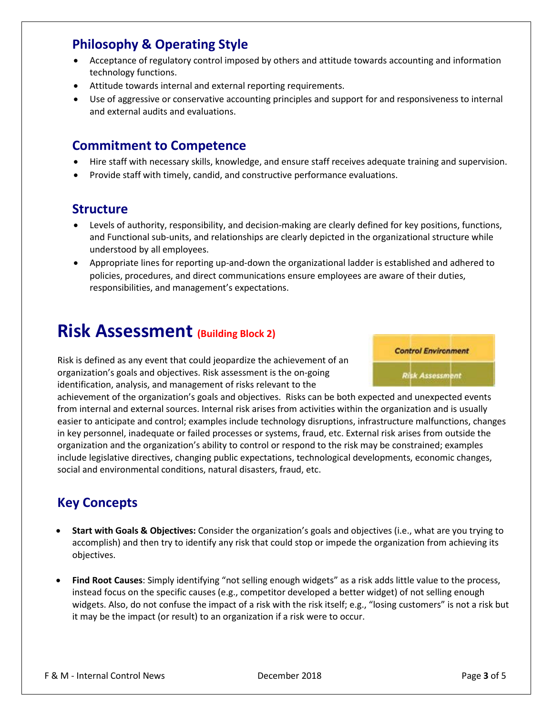#### **Philosophy & Operating Style**

- Acceptance of regulatory control imposed by others and attitude towards accounting and information technology functions.
- Attitude towards internal and external reporting requirements.
- Use of aggressive or conservative accounting principles and support for and responsiveness to internal and external audits and evaluations.

#### **Commitment to Competence**

- Hire staff with necessary skills, knowledge, and ensure staff receives adequate training and supervision.
- Provide staff with timely, candid, and constructive performance evaluations.

#### **Structure**

- Levels of authority, responsibility, and decision-making are clearly defined for key positions, functions, and Functional sub-units, and relationships are clearly depicted in the organizational structure while understood by all employees.
- Appropriate lines for reporting up-and-down the organizational ladder is established and adhered to policies, procedures, and direct communications ensure employees are aware of their duties, responsibilities, and management's expectations.

## **Risk Assessment (Building Block 2)**

Risk is defined as any event that could jeopardize the achievement of an organization's goals and objectives. Risk assessment is the on-going identification, analysis, and management of risks relevant to the



achievement of the organization's goals and objectives. Risks can be both expected and unexpected events from internal and external sources. Internal risk arises from activities within the organization and is usually easier to anticipate and control; examples include technology disruptions, infrastructure malfunctions, changes in key personnel, inadequate or failed processes or systems, fraud, etc. External risk arises from outside the organization and the organization's ability to control or respond to the risk may be constrained; examples include legislative directives, changing public expectations, technological developments, economic changes, social and environmental conditions, natural disasters, fraud, etc.

### **Key Concepts**

- **Start with Goals & Objectives:** Consider the organization's goals and objectives (i.e., what are you trying to accomplish) and then try to identify any risk that could stop or impede the organization from achieving its objectives.
- **Find Root Causes**: Simply identifying "not selling enough widgets" as a risk adds little value to the process, instead focus on the specific causes (e.g., competitor developed a better widget) of not selling enough widgets. Also, do not confuse the impact of a risk with the risk itself; e.g., "losing customers" is not a risk but it may be the impact (or result) to an organization if a risk were to occur.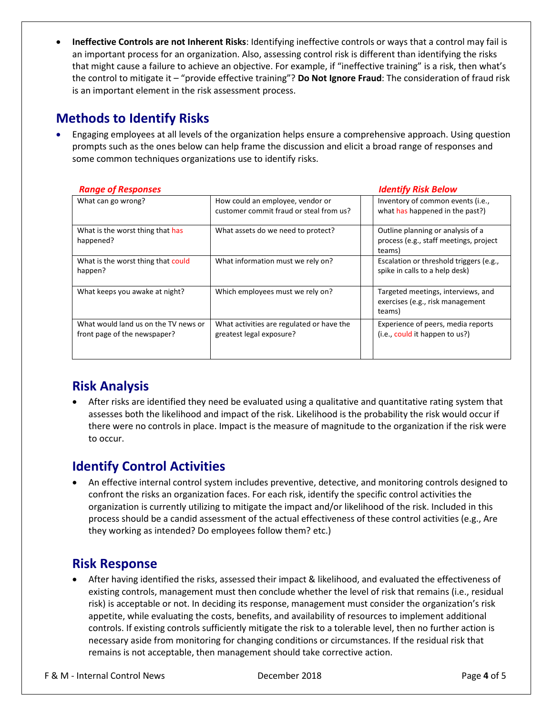• **Ineffective Controls are not Inherent Risks**: Identifying ineffective controls or ways that a control may fail is an important process for an organization. Also, assessing control risk is different than identifying the risks that might cause a failure to achieve an objective. For example, if "ineffective training" is a risk, then what's the control to mitigate it – "provide effective training"? **Do Not Ignore Fraud**: The consideration of fraud risk is an important element in the risk assessment process.

#### **Methods to Identify Risks**

• Engaging employees at all levels of the organization helps ensure a comprehensive approach. Using question prompts such as the ones below can help frame the discussion and elicit a broad range of responses and some common techniques organizations use to identify risks.

| <b>Range of Responses</b>                                            |                                                                             | <b>Identify Risk Below</b>                                                            |  |
|----------------------------------------------------------------------|-----------------------------------------------------------------------------|---------------------------------------------------------------------------------------|--|
| What can go wrong?                                                   | How could an employee, vendor or<br>customer commit fraud or steal from us? | Inventory of common events (i.e.,<br>what has happened in the past?)                  |  |
| What is the worst thing that has<br>happened?                        | What assets do we need to protect?                                          | Outline planning or analysis of a<br>process (e.g., staff meetings, project<br>teams) |  |
| What is the worst thing that could<br>happen?                        | What information must we rely on?                                           | Escalation or threshold triggers (e.g.,<br>spike in calls to a help desk)             |  |
| What keeps you awake at night?                                       | Which employees must we rely on?                                            | Targeted meetings, interviews, and<br>exercises (e.g., risk management<br>teams)      |  |
| What would land us on the TV news or<br>front page of the newspaper? | What activities are regulated or have the<br>greatest legal exposure?       | Experience of peers, media reports<br>(i.e., could it happen to us?)                  |  |

### **Risk Analysis**

• After risks are identified they need be evaluated using a qualitative and quantitative rating system that assesses both the likelihood and impact of the risk. Likelihood is the probability the risk would occur if there were no controls in place. Impact is the measure of magnitude to the organization if the risk were to occur.

### **Identify Control Activities**

• An effective internal control system includes preventive, detective, and monitoring controls designed to confront the risks an organization faces. For each risk, identify the specific control activities the organization is currently utilizing to mitigate the impact and/or likelihood of the risk. Included in this process should be a candid assessment of the actual effectiveness of these control activities (e.g., Are they working as intended? Do employees follow them? etc.)

#### **Risk Response**

• After having identified the risks, assessed their impact & likelihood, and evaluated the effectiveness of existing controls, management must then conclude whether the level of risk that remains (i.e., residual risk) is acceptable or not. In deciding its response, management must consider the organization's risk appetite, while evaluating the costs, benefits, and availability of resources to implement additional controls. If existing controls sufficiently mitigate the risk to a tolerable level, then no further action is necessary aside from monitoring for changing conditions or circumstances. If the residual risk that remains is not acceptable, then management should take corrective action.